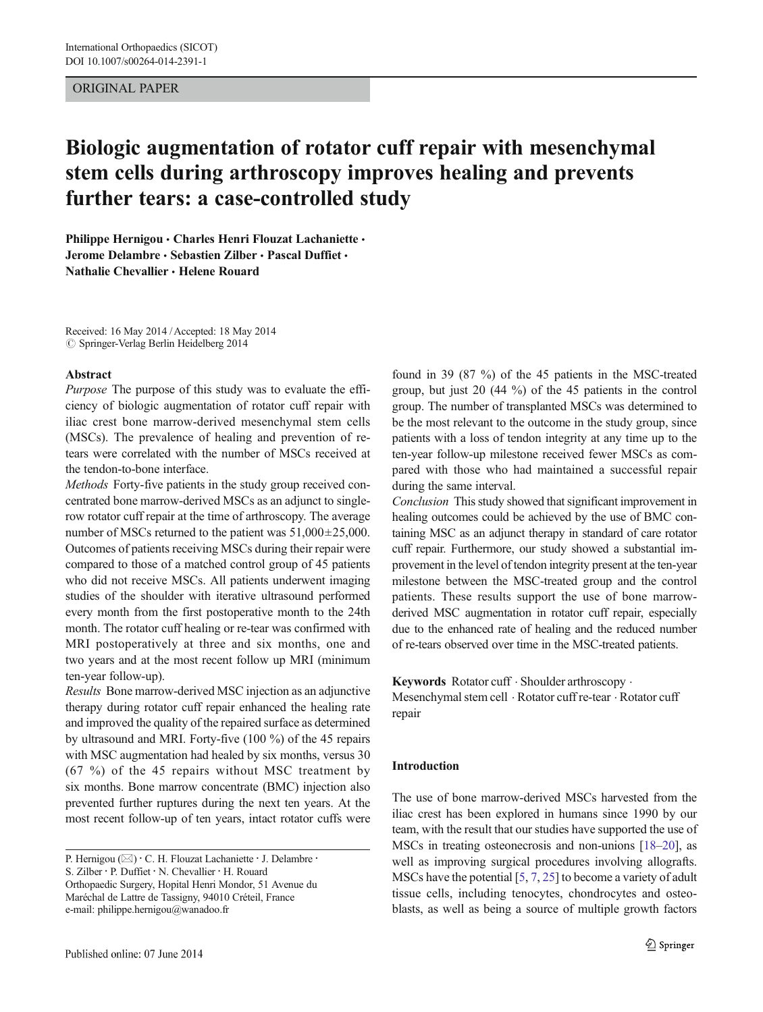## ORIGINAL PAPER

# Biologic augmentation of rotator cuff repair with mesenchymal stem cells during arthroscopy improves healing and prevents further tears: a case-controlled study

Philippe Hernigou • Charles Henri Flouzat Lachaniette • Jerome Delambre · Sebastien Zilber · Pascal Duffiet · Nathalie Chevallier & Helene Rouard

Received: 16 May 2014 /Accepted: 18 May 2014  $\odot$  Springer-Verlag Berlin Heidelberg 2014

#### Abstract

Purpose The purpose of this study was to evaluate the efficiency of biologic augmentation of rotator cuff repair with iliac crest bone marrow-derived mesenchymal stem cells (MSCs). The prevalence of healing and prevention of retears were correlated with the number of MSCs received at the tendon-to-bone interface.

Methods Forty-five patients in the study group received concentrated bone marrow-derived MSCs as an adjunct to singlerow rotator cuff repair at the time of arthroscopy. The average number of MSCs returned to the patient was  $51,000\pm25,000$ . Outcomes of patients receiving MSCs during their repair were compared to those of a matched control group of 45 patients who did not receive MSCs. All patients underwent imaging studies of the shoulder with iterative ultrasound performed every month from the first postoperative month to the 24th month. The rotator cuff healing or re-tear was confirmed with MRI postoperatively at three and six months, one and two years and at the most recent follow up MRI (minimum ten-year follow-up).

Results Bone marrow-derived MSC injection as an adjunctive therapy during rotator cuff repair enhanced the healing rate and improved the quality of the repaired surface as determined by ultrasound and MRI. Forty-five (100 %) of the 45 repairs with MSC augmentation had healed by six months, versus 30 (67 %) of the 45 repairs without MSC treatment by six months. Bone marrow concentrate (BMC) injection also prevented further ruptures during the next ten years. At the most recent follow-up of ten years, intact rotator cuffs were

S. Zilber : P. Duffiet : N. Chevallier : H. Rouard

Orthopaedic Surgery, Hopital Henri Mondor, 51 Avenue du Maréchal de Lattre de Tassigny, 94010 Créteil, France e-mail: philippe.hernigou@wanadoo.fr

found in 39 (87 %) of the 45 patients in the MSC-treated group, but just 20 (44 %) of the 45 patients in the control group. The number of transplanted MSCs was determined to be the most relevant to the outcome in the study group, since patients with a loss of tendon integrity at any time up to the ten-year follow-up milestone received fewer MSCs as compared with those who had maintained a successful repair during the same interval.

Conclusion This study showed that significant improvement in healing outcomes could be achieved by the use of BMC containing MSC as an adjunct therapy in standard of care rotator cuff repair. Furthermore, our study showed a substantial improvement in the level of tendon integrity present at the ten-year milestone between the MSC-treated group and the control patients. These results support the use of bone marrowderived MSC augmentation in rotator cuff repair, especially due to the enhanced rate of healing and the reduced number of re-tears observed over time in the MSC-treated patients.

Keywords Rotator cuff · Shoulder arthroscopy · Mesenchymal stem cell . Rotator cuff re-tear . Rotator cuff repair

#### Introduction

The use of bone marrow-derived MSCs harvested from the iliac crest has been explored in humans since 1990 by our team, with the result that our studies have supported the use of MSCs in treating osteonecrosis and non-unions [\[18](#page-7-0)–[20\]](#page-7-0), as well as improving surgical procedures involving allografts. MSCs have the potential [\[5](#page-7-0), [7](#page-7-0), [25](#page-7-0)] to become a variety of adult tissue cells, including tenocytes, chondrocytes and osteoblasts, as well as being a source of multiple growth factors

P. Hernigou (⊠) · C. H. Flouzat Lachaniette · J. Delambre ·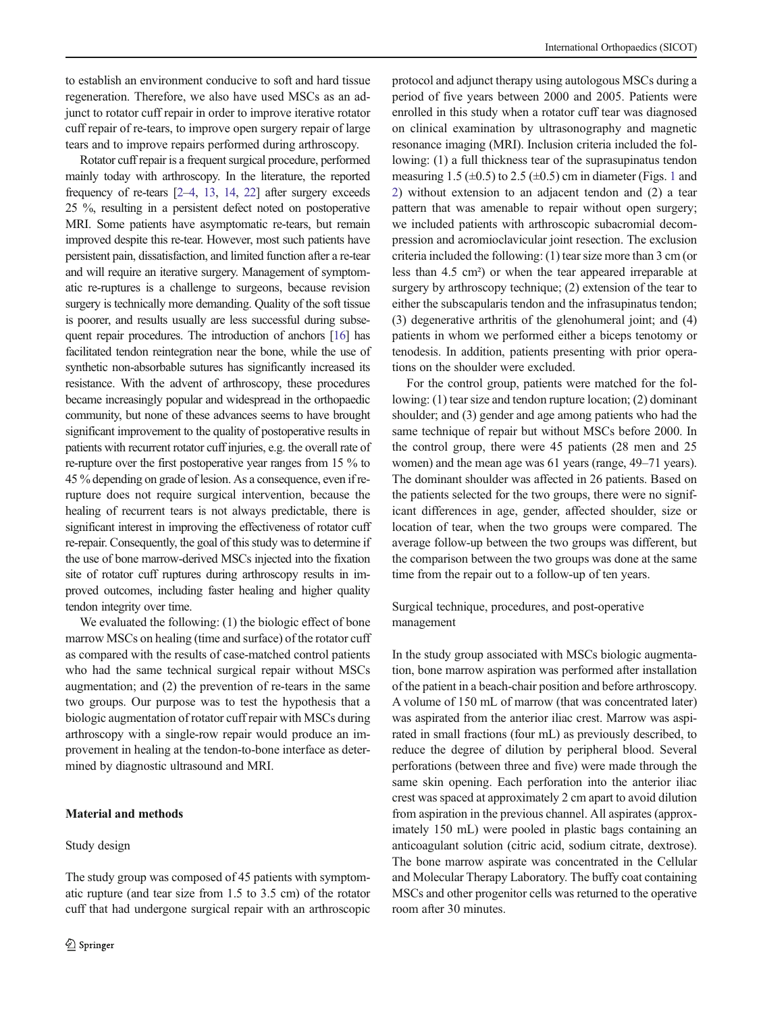to establish an environment conducive to soft and hard tissue regeneration. Therefore, we also have used MSCs as an adjunct to rotator cuff repair in order to improve iterative rotator cuff repair of re-tears, to improve open surgery repair of large tears and to improve repairs performed during arthroscopy.

Rotator cuff repair is a frequent surgical procedure, performed mainly today with arthroscopy. In the literature, the reported frequency of re-tears [\[2](#page-7-0)–[4](#page-7-0), [13](#page-7-0), [14](#page-7-0), [22\]](#page-7-0) after surgery exceeds 25 %, resulting in a persistent defect noted on postoperative MRI. Some patients have asymptomatic re-tears, but remain improved despite this re-tear. However, most such patients have persistent pain, dissatisfaction, and limited function after a re-tear and will require an iterative surgery. Management of symptomatic re-ruptures is a challenge to surgeons, because revision surgery is technically more demanding. Quality of the soft tissue is poorer, and results usually are less successful during subsequent repair procedures. The introduction of anchors [\[16\]](#page-7-0) has facilitated tendon reintegration near the bone, while the use of synthetic non-absorbable sutures has significantly increased its resistance. With the advent of arthroscopy, these procedures became increasingly popular and widespread in the orthopaedic community, but none of these advances seems to have brought significant improvement to the quality of postoperative results in patients with recurrent rotator cuff injuries, e.g. the overall rate of re-rupture over the first postoperative year ranges from 15 % to 45 % depending on grade of lesion. As a consequence, even if rerupture does not require surgical intervention, because the healing of recurrent tears is not always predictable, there is significant interest in improving the effectiveness of rotator cuff re-repair. Consequently, the goal of this study was to determine if the use of bone marrow-derived MSCs injected into the fixation site of rotator cuff ruptures during arthroscopy results in improved outcomes, including faster healing and higher quality tendon integrity over time.

We evaluated the following: (1) the biologic effect of bone marrow MSCs on healing (time and surface) of the rotator cuff as compared with the results of case-matched control patients who had the same technical surgical repair without MSCs augmentation; and (2) the prevention of re-tears in the same two groups. Our purpose was to test the hypothesis that a biologic augmentation of rotator cuff repair with MSCs during arthroscopy with a single-row repair would produce an improvement in healing at the tendon-to-bone interface as determined by diagnostic ultrasound and MRI.

## Material and methods

#### Study design

protocol and adjunct therapy using autologous MSCs during a period of five years between 2000 and 2005. Patients were enrolled in this study when a rotator cuff tear was diagnosed on clinical examination by ultrasonography and magnetic resonance imaging (MRI). Inclusion criteria included the following: (1) a full thickness tear of the suprasupinatus tendon measuring [1](#page-2-0).5 ( $\pm$ 0.5) to 2.5 ( $\pm$ 0.5) cm in diameter (Figs. 1 and [2](#page-2-0)) without extension to an adjacent tendon and (2) a tear pattern that was amenable to repair without open surgery; we included patients with arthroscopic subacromial decompression and acromioclavicular joint resection. The exclusion criteria included the following: (1) tear size more than 3 cm (or less than 4.5 cm²) or when the tear appeared irreparable at surgery by arthroscopy technique; (2) extension of the tear to either the subscapularis tendon and the infrasupinatus tendon; (3) degenerative arthritis of the glenohumeral joint; and (4) patients in whom we performed either a biceps tenotomy or tenodesis. In addition, patients presenting with prior operations on the shoulder were excluded.

For the control group, patients were matched for the following: (1) tear size and tendon rupture location; (2) dominant shoulder; and (3) gender and age among patients who had the same technique of repair but without MSCs before 2000. In the control group, there were 45 patients (28 men and 25 women) and the mean age was 61 years (range, 49–71 years). The dominant shoulder was affected in 26 patients. Based on the patients selected for the two groups, there were no significant differences in age, gender, affected shoulder, size or location of tear, when the two groups were compared. The average follow-up between the two groups was different, but the comparison between the two groups was done at the same time from the repair out to a follow-up of ten years.

Surgical technique, procedures, and post-operative management

In the study group associated with MSCs biologic augmentation, bone marrow aspiration was performed after installation of the patient in a beach-chair position and before arthroscopy. A volume of 150 mL of marrow (that was concentrated later) was aspirated from the anterior iliac crest. Marrow was aspirated in small fractions (four mL) as previously described, to reduce the degree of dilution by peripheral blood. Several perforations (between three and five) were made through the same skin opening. Each perforation into the anterior iliac crest was spaced at approximately 2 cm apart to avoid dilution from aspiration in the previous channel. All aspirates (approximately 150 mL) were pooled in plastic bags containing an anticoagulant solution (citric acid, sodium citrate, dextrose). The bone marrow aspirate was concentrated in the Cellular and Molecular Therapy Laboratory. The buffy coat containing MSCs and other progenitor cells was returned to the operative room after 30 minutes.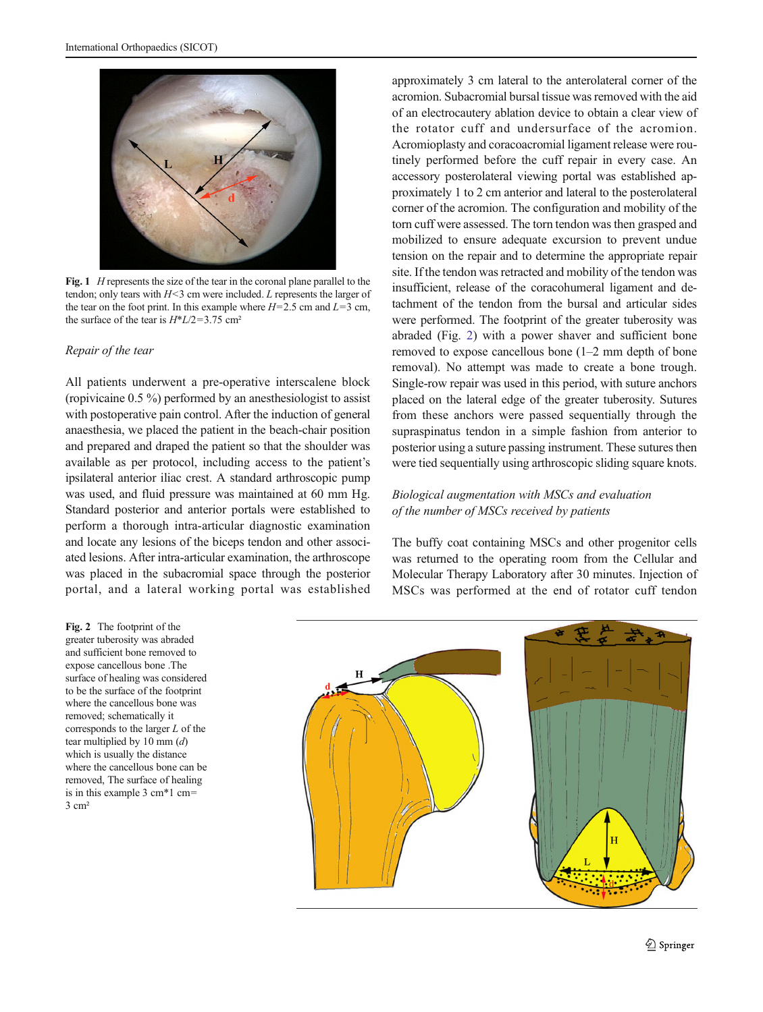<span id="page-2-0"></span>

Fig. 1 *H* represents the size of the tear in the coronal plane parallel to the tendon; only tears with  $H<sub>3</sub>$  cm were included. L represents the larger of the tear on the foot print. In this example where  $H=2.5$  cm and  $L=3$  cm, the surface of the tear is  $H^*L/2=3.75$  cm<sup>2</sup>

#### Repair of the tear

All patients underwent a pre-operative interscalene block (ropivicaine 0.5 %) performed by an anesthesiologist to assist with postoperative pain control. After the induction of general anaesthesia, we placed the patient in the beach-chair position and prepared and draped the patient so that the shoulder was available as per protocol, including access to the patient's ipsilateral anterior iliac crest. A standard arthroscopic pump was used, and fluid pressure was maintained at 60 mm Hg. Standard posterior and anterior portals were established to perform a thorough intra-articular diagnostic examination and locate any lesions of the biceps tendon and other associated lesions. After intra-articular examination, the arthroscope was placed in the subacromial space through the posterior portal, and a lateral working portal was established

Fig. 2 The footprint of the greater tuberosity was abraded and sufficient bone removed to expose cancellous bone .The surface of healing was considered to be the surface of the footprint where the cancellous bone was removed; schematically it corresponds to the larger L of the tear multiplied by 10 mm  $(d)$ which is usually the distance where the cancellous bone can be removed, The surface of healing is in this example 3 cm\*1 cm= 3 cm²

approximately 3 cm lateral to the anterolateral corner of the acromion. Subacromial bursal tissue was removed with the aid of an electrocautery ablation device to obtain a clear view of the rotator cuff and undersurface of the acromion. Acromioplasty and coracoacromial ligament release were routinely performed before the cuff repair in every case. An accessory posterolateral viewing portal was established approximately 1 to 2 cm anterior and lateral to the posterolateral corner of the acromion. The configuration and mobility of the torn cuff were assessed. The torn tendon was then grasped and mobilized to ensure adequate excursion to prevent undue tension on the repair and to determine the appropriate repair site. If the tendon was retracted and mobility of the tendon was insufficient, release of the coracohumeral ligament and detachment of the tendon from the bursal and articular sides were performed. The footprint of the greater tuberosity was abraded (Fig. 2) with a power shaver and sufficient bone removed to expose cancellous bone (1–2 mm depth of bone removal). No attempt was made to create a bone trough. Single-row repair was used in this period, with suture anchors placed on the lateral edge of the greater tuberosity. Sutures from these anchors were passed sequentially through the supraspinatus tendon in a simple fashion from anterior to posterior using a suture passing instrument. These sutures then were tied sequentially using arthroscopic sliding square knots.

# Biological augmentation with MSCs and evaluation of the number of MSCs received by patients

The buffy coat containing MSCs and other progenitor cells was returned to the operating room from the Cellular and Molecular Therapy Laboratory after 30 minutes. Injection of MSCs was performed at the end of rotator cuff tendon

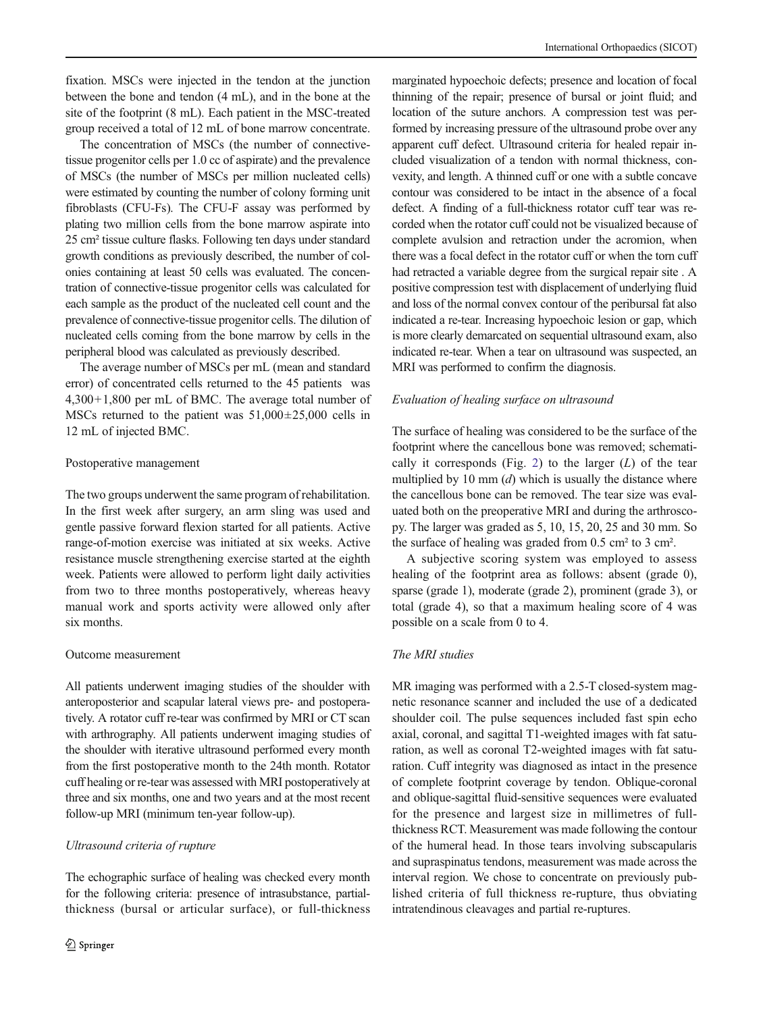fixation. MSCs were injected in the tendon at the junction between the bone and tendon (4 mL), and in the bone at the site of the footprint (8 mL). Each patient in the MSC-treated group received a total of 12 mL of bone marrow concentrate.

The concentration of MSCs (the number of connectivetissue progenitor cells per 1.0 cc of aspirate) and the prevalence of MSCs (the number of MSCs per million nucleated cells) were estimated by counting the number of colony forming unit fibroblasts (CFU-Fs). The CFU-F assay was performed by plating two million cells from the bone marrow aspirate into 25 cm² tissue culture flasks. Following ten days under standard growth conditions as previously described, the number of colonies containing at least 50 cells was evaluated. The concentration of connective-tissue progenitor cells was calculated for each sample as the product of the nucleated cell count and the prevalence of connective-tissue progenitor cells. The dilution of nucleated cells coming from the bone marrow by cells in the peripheral blood was calculated as previously described.

The average number of MSCs per mL (mean and standard error) of concentrated cells returned to the 45 patients was 4,300+1,800 per mL of BMC. The average total number of MSCs returned to the patient was  $51,000\pm25,000$  cells in 12 mL of injected BMC.

#### Postoperative management

The two groups underwent the same program of rehabilitation. In the first week after surgery, an arm sling was used and gentle passive forward flexion started for all patients. Active range-of-motion exercise was initiated at six weeks. Active resistance muscle strengthening exercise started at the eighth week. Patients were allowed to perform light daily activities from two to three months postoperatively, whereas heavy manual work and sports activity were allowed only after six months.

## Outcome measurement

All patients underwent imaging studies of the shoulder with anteroposterior and scapular lateral views pre- and postoperatively. A rotator cuff re-tear was confirmed by MRI or CT scan with arthrography. All patients underwent imaging studies of the shoulder with iterative ultrasound performed every month from the first postoperative month to the 24th month. Rotator cuff healing or re-tear was assessed with MRI postoperatively at three and six months, one and two years and at the most recent follow-up MRI (minimum ten-year follow-up).

#### Ultrasound criteria of rupture

The echographic surface of healing was checked every month for the following criteria: presence of intrasubstance, partialthickness (bursal or articular surface), or full-thickness

marginated hypoechoic defects; presence and location of focal thinning of the repair; presence of bursal or joint fluid; and location of the suture anchors. A compression test was performed by increasing pressure of the ultrasound probe over any apparent cuff defect. Ultrasound criteria for healed repair included visualization of a tendon with normal thickness, convexity, and length. A thinned cuff or one with a subtle concave contour was considered to be intact in the absence of a focal defect. A finding of a full-thickness rotator cuff tear was recorded when the rotator cuff could not be visualized because of complete avulsion and retraction under the acromion, when there was a focal defect in the rotator cuff or when the torn cuff had retracted a variable degree from the surgical repair site . A positive compression test with displacement of underlying fluid and loss of the normal convex contour of the peribursal fat also indicated a re-tear. Increasing hypoechoic lesion or gap, which is more clearly demarcated on sequential ultrasound exam, also indicated re-tear. When a tear on ultrasound was suspected, an MRI was performed to confirm the diagnosis.

#### Evaluation of healing surface on ultrasound

The surface of healing was considered to be the surface of the footprint where the cancellous bone was removed; schemati-cally it corresponds (Fig. [2\)](#page-2-0) to the larger  $(L)$  of the tear multiplied by 10 mm  $(d)$  which is usually the distance where the cancellous bone can be removed. The tear size was evaluated both on the preoperative MRI and during the arthroscopy. The larger was graded as 5, 10, 15, 20, 25 and 30 mm. So the surface of healing was graded from 0.5 cm² to 3 cm².

A subjective scoring system was employed to assess healing of the footprint area as follows: absent (grade 0), sparse (grade 1), moderate (grade 2), prominent (grade 3), or total (grade 4), so that a maximum healing score of 4 was possible on a scale from 0 to 4.

## The MRI studies

MR imaging was performed with a 2.5-T closed-system magnetic resonance scanner and included the use of a dedicated shoulder coil. The pulse sequences included fast spin echo axial, coronal, and sagittal T1-weighted images with fat saturation, as well as coronal T2-weighted images with fat saturation. Cuff integrity was diagnosed as intact in the presence of complete footprint coverage by tendon. Oblique-coronal and oblique-sagittal fluid-sensitive sequences were evaluated for the presence and largest size in millimetres of fullthickness RCT. Measurement was made following the contour of the humeral head. In those tears involving subscapularis and supraspinatus tendons, measurement was made across the interval region. We chose to concentrate on previously published criteria of full thickness re-rupture, thus obviating intratendinous cleavages and partial re-ruptures.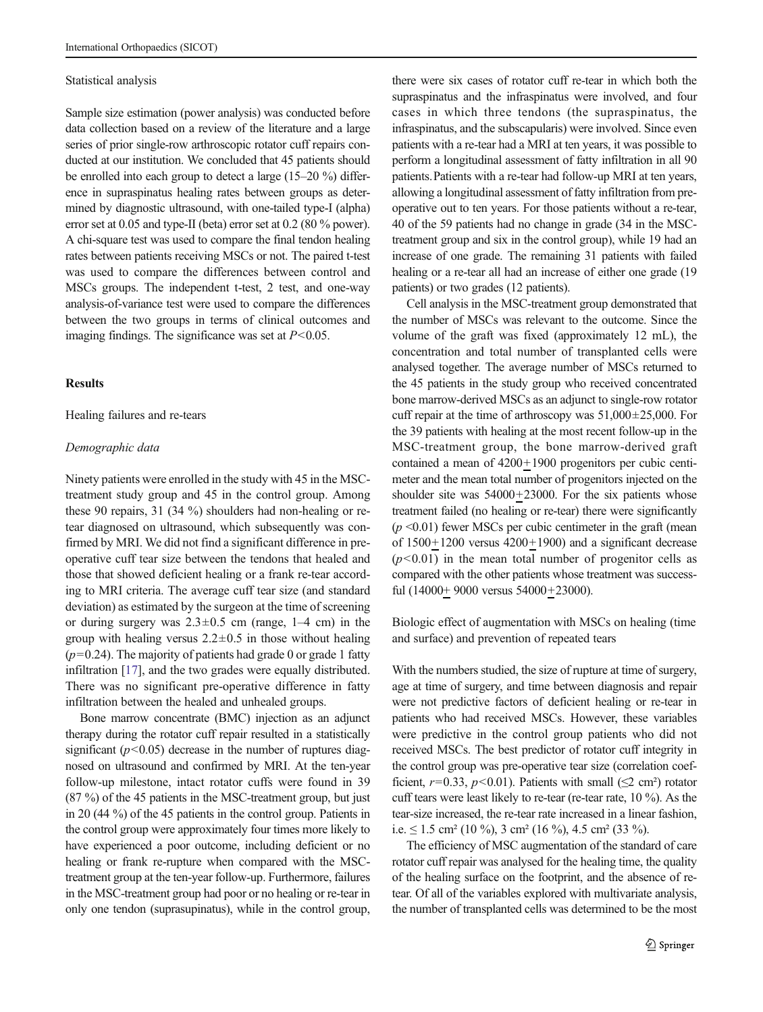#### Statistical analysis

Sample size estimation (power analysis) was conducted before data collection based on a review of the literature and a large series of prior single-row arthroscopic rotator cuff repairs conducted at our institution. We concluded that 45 patients should be enrolled into each group to detect a large (15–20 %) difference in supraspinatus healing rates between groups as determined by diagnostic ultrasound, with one-tailed type-I (alpha) error set at 0.05 and type-II (beta) error set at 0.2 (80 % power). A chi-square test was used to compare the final tendon healing rates between patients receiving MSCs or not. The paired t-test was used to compare the differences between control and MSCs groups. The independent t-test, 2 test, and one-way analysis-of-variance test were used to compare the differences between the two groups in terms of clinical outcomes and imaging findings. The significance was set at  $P<0.05$ .

#### **Results**

Healing failures and re-tears

#### Demographic data

Ninety patients were enrolled in the study with 45 in the MSCtreatment study group and 45 in the control group. Among these 90 repairs, 31 (34 %) shoulders had non-healing or retear diagnosed on ultrasound, which subsequently was confirmed by MRI. We did not find a significant difference in preoperative cuff tear size between the tendons that healed and those that showed deficient healing or a frank re-tear according to MRI criteria. The average cuff tear size (and standard deviation) as estimated by the surgeon at the time of screening or during surgery was  $2.3 \pm 0.5$  cm (range,  $1-4$  cm) in the group with healing versus  $2.2 \pm 0.5$  in those without healing  $(p=0.24)$ . The majority of patients had grade 0 or grade 1 fatty infiltration [[17\]](#page-7-0), and the two grades were equally distributed. There was no significant pre-operative difference in fatty infiltration between the healed and unhealed groups.

Bone marrow concentrate (BMC) injection as an adjunct therapy during the rotator cuff repair resulted in a statistically significant  $(p<0.05)$  decrease in the number of ruptures diagnosed on ultrasound and confirmed by MRI. At the ten-year follow-up milestone, intact rotator cuffs were found in 39 (87 %) of the 45 patients in the MSC-treatment group, but just in 20 (44 %) of the 45 patients in the control group. Patients in the control group were approximately four times more likely to have experienced a poor outcome, including deficient or no healing or frank re-rupture when compared with the MSCtreatment group at the ten-year follow-up. Furthermore, failures in the MSC-treatment group had poor or no healing or re-tear in only one tendon (suprasupinatus), while in the control group,

there were six cases of rotator cuff re-tear in which both the supraspinatus and the infraspinatus were involved, and four cases in which three tendons (the supraspinatus, the infraspinatus, and the subscapularis) were involved. Since even patients with a re-tear had a MRI at ten years, it was possible to perform a longitudinal assessment of fatty infiltration in all 90 patients.Patients with a re-tear had follow-up MRI at ten years, allowing a longitudinal assessment of fatty infiltration from preoperative out to ten years. For those patients without a re-tear, 40 of the 59 patients had no change in grade (34 in the MSCtreatment group and six in the control group), while 19 had an increase of one grade. The remaining 31 patients with failed healing or a re-tear all had an increase of either one grade (19 patients) or two grades (12 patients).

Cell analysis in the MSC-treatment group demonstrated that the number of MSCs was relevant to the outcome. Since the volume of the graft was fixed (approximately 12 mL), the concentration and total number of transplanted cells were analysed together. The average number of MSCs returned to the 45 patients in the study group who received concentrated bone marrow-derived MSCs as an adjunct to single-row rotator cuff repair at the time of arthroscopy was  $51,000\pm25,000$ . For the 39 patients with healing at the most recent follow-up in the MSC-treatment group, the bone marrow-derived graft contained a mean of 4200+1900 progenitors per cubic centimeter and the mean total number of progenitors injected on the shoulder site was 54000+23000. For the six patients whose treatment failed (no healing or re-tear) there were significantly  $(p \le 0.01)$  fewer MSCs per cubic centimeter in the graft (mean of  $1500+1200$  versus  $4200+1900$ ) and a significant decrease  $(p<0.01)$  in the mean total number of progenitor cells as compared with the other patients whose treatment was successful (14000+ 9000 versus 54000+23000).

Biologic effect of augmentation with MSCs on healing (time and surface) and prevention of repeated tears

With the numbers studied, the size of rupture at time of surgery, age at time of surgery, and time between diagnosis and repair were not predictive factors of deficient healing or re-tear in patients who had received MSCs. However, these variables were predictive in the control group patients who did not received MSCs. The best predictor of rotator cuff integrity in the control group was pre-operative tear size (correlation coefficient,  $r=0.33$ ,  $p<0.01$ ). Patients with small ( $\leq 2$  cm<sup>2</sup>) rotator cuff tears were least likely to re-tear (re-tear rate, 10 %). As the tear-size increased, the re-tear rate increased in a linear fashion, i.e.  $\leq$  1.5 cm<sup>2</sup> (10 %), 3 cm<sup>2</sup> (16 %), 4.5 cm<sup>2</sup> (33 %).

The efficiency of MSC augmentation of the standard of care rotator cuff repair was analysed for the healing time, the quality of the healing surface on the footprint, and the absence of retear. Of all of the variables explored with multivariate analysis, the number of transplanted cells was determined to be the most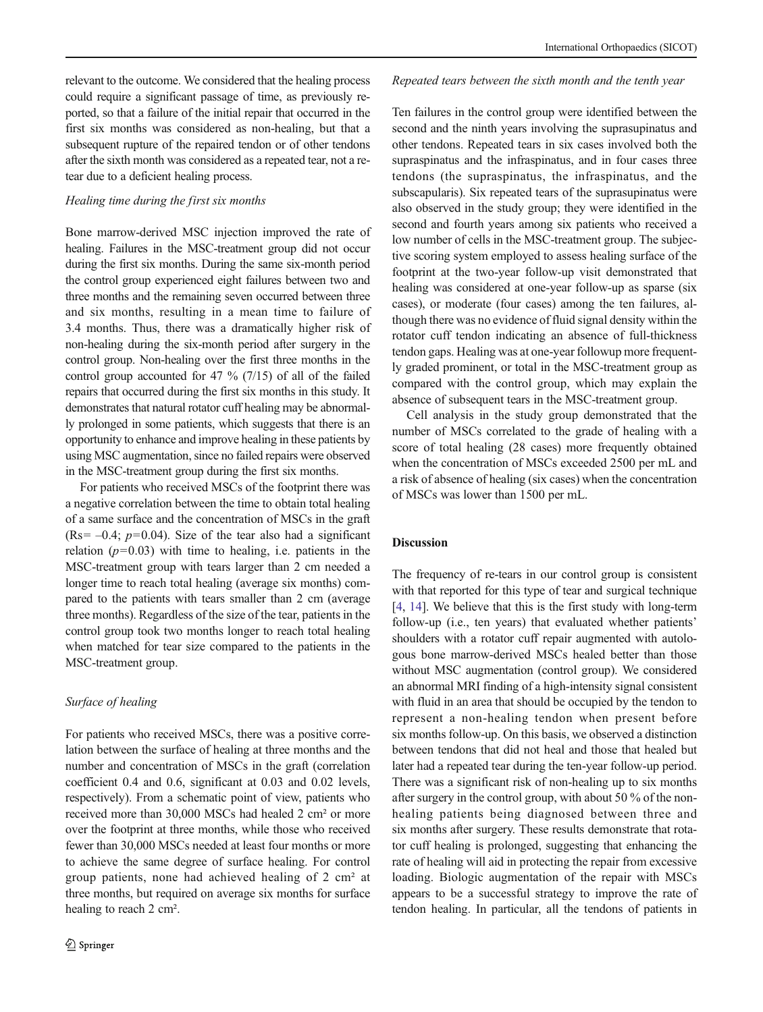relevant to the outcome. We considered that the healing process could require a significant passage of time, as previously reported, so that a failure of the initial repair that occurred in the first six months was considered as non-healing, but that a subsequent rupture of the repaired tendon or of other tendons after the sixth month was considered as a repeated tear, not a retear due to a deficient healing process.

#### Healing time during the first six months

Bone marrow-derived MSC injection improved the rate of healing. Failures in the MSC-treatment group did not occur during the first six months. During the same six-month period the control group experienced eight failures between two and three months and the remaining seven occurred between three and six months, resulting in a mean time to failure of 3.4 months. Thus, there was a dramatically higher risk of non-healing during the six-month period after surgery in the control group. Non-healing over the first three months in the control group accounted for 47 % (7/15) of all of the failed repairs that occurred during the first six months in this study. It demonstrates that natural rotator cuff healing may be abnormally prolonged in some patients, which suggests that there is an opportunity to enhance and improve healing in these patients by using MSC augmentation, since no failed repairs were observed in the MSC-treatment group during the first six months.

For patients who received MSCs of the footprint there was a negative correlation between the time to obtain total healing of a same surface and the concentration of MSCs in the graft (Rs=  $-0.4$ ;  $p=0.04$ ). Size of the tear also had a significant relation  $(p=0.03)$  with time to healing, i.e. patients in the MSC-treatment group with tears larger than 2 cm needed a longer time to reach total healing (average six months) compared to the patients with tears smaller than 2 cm (average three months). Regardless of the size of the tear, patients in the control group took two months longer to reach total healing when matched for tear size compared to the patients in the MSC-treatment group.

#### Surface of healing

For patients who received MSCs, there was a positive correlation between the surface of healing at three months and the number and concentration of MSCs in the graft (correlation coefficient 0.4 and 0.6, significant at 0.03 and 0.02 levels, respectively). From a schematic point of view, patients who received more than 30,000 MSCs had healed 2 cm² or more over the footprint at three months, while those who received fewer than 30,000 MSCs needed at least four months or more to achieve the same degree of surface healing. For control group patients, none had achieved healing of 2 cm² at three months, but required on average six months for surface healing to reach 2 cm².

#### Repeated tears between the sixth month and the tenth year

Ten failures in the control group were identified between the second and the ninth years involving the suprasupinatus and other tendons. Repeated tears in six cases involved both the supraspinatus and the infraspinatus, and in four cases three tendons (the supraspinatus, the infraspinatus, and the subscapularis). Six repeated tears of the suprasupinatus were also observed in the study group; they were identified in the second and fourth years among six patients who received a low number of cells in the MSC-treatment group. The subjective scoring system employed to assess healing surface of the footprint at the two-year follow-up visit demonstrated that healing was considered at one-year follow-up as sparse (six cases), or moderate (four cases) among the ten failures, although there was no evidence of fluid signal density within the rotator cuff tendon indicating an absence of full-thickness tendon gaps. Healing was at one-year followup more frequently graded prominent, or total in the MSC-treatment group as compared with the control group, which may explain the absence of subsequent tears in the MSC-treatment group.

Cell analysis in the study group demonstrated that the number of MSCs correlated to the grade of healing with a score of total healing (28 cases) more frequently obtained when the concentration of MSCs exceeded 2500 per mL and a risk of absence of healing (six cases) when the concentration of MSCs was lower than 1500 per mL.

#### Discussion

The frequency of re-tears in our control group is consistent with that reported for this type of tear and surgical technique [\[4](#page-7-0), [14](#page-7-0)]. We believe that this is the first study with long-term follow-up (i.e., ten years) that evaluated whether patients' shoulders with a rotator cuff repair augmented with autologous bone marrow-derived MSCs healed better than those without MSC augmentation (control group). We considered an abnormal MRI finding of a high-intensity signal consistent with fluid in an area that should be occupied by the tendon to represent a non-healing tendon when present before six months follow-up. On this basis, we observed a distinction between tendons that did not heal and those that healed but later had a repeated tear during the ten-year follow-up period. There was a significant risk of non-healing up to six months after surgery in the control group, with about 50 % of the nonhealing patients being diagnosed between three and six months after surgery. These results demonstrate that rotator cuff healing is prolonged, suggesting that enhancing the rate of healing will aid in protecting the repair from excessive loading. Biologic augmentation of the repair with MSCs appears to be a successful strategy to improve the rate of tendon healing. In particular, all the tendons of patients in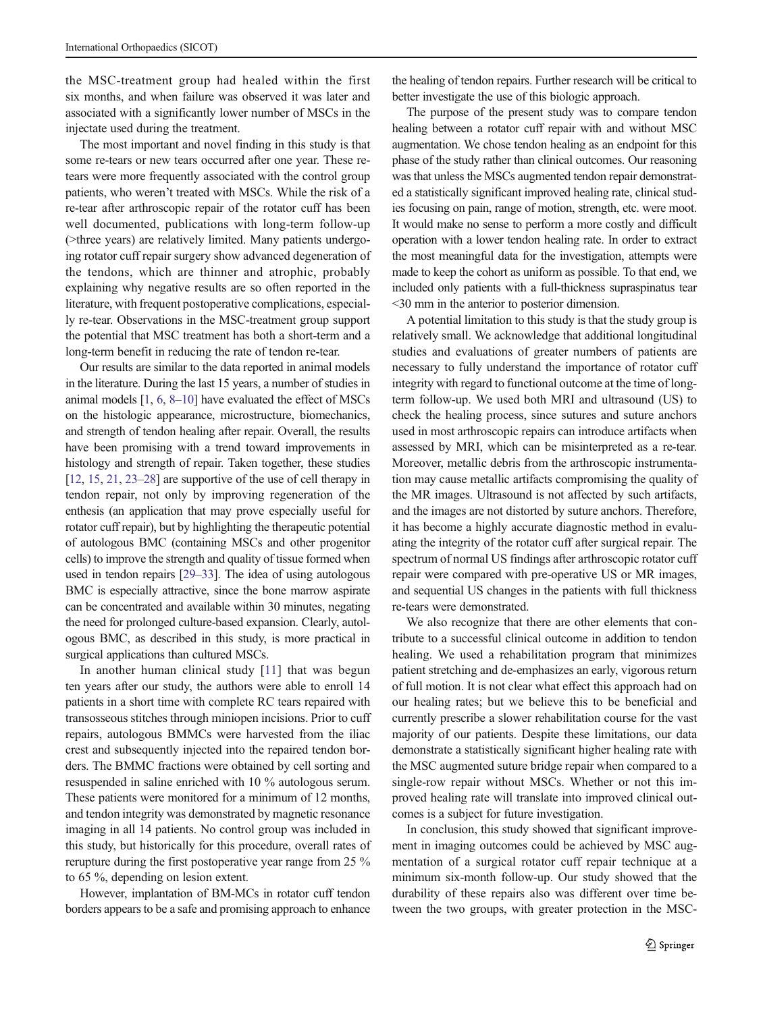the MSC-treatment group had healed within the first six months, and when failure was observed it was later and associated with a significantly lower number of MSCs in the injectate used during the treatment.

The most important and novel finding in this study is that some re-tears or new tears occurred after one year. These retears were more frequently associated with the control group patients, who weren't treated with MSCs. While the risk of a re-tear after arthroscopic repair of the rotator cuff has been well documented, publications with long-term follow-up (>three years) are relatively limited. Many patients undergoing rotator cuff repair surgery show advanced degeneration of the tendons, which are thinner and atrophic, probably explaining why negative results are so often reported in the literature, with frequent postoperative complications, especially re-tear. Observations in the MSC-treatment group support the potential that MSC treatment has both a short-term and a long-term benefit in reducing the rate of tendon re-tear.

Our results are similar to the data reported in animal models in the literature. During the last 15 years, a number of studies in animal models [[1](#page-7-0), [6](#page-7-0), [8](#page-7-0)–[10](#page-7-0)] have evaluated the effect of MSCs on the histologic appearance, microstructure, biomechanics, and strength of tendon healing after repair. Overall, the results have been promising with a trend toward improvements in histology and strength of repair. Taken together, these studies [\[12,](#page-7-0) [15](#page-7-0), [21,](#page-7-0) [23](#page-7-0)–[28\]](#page-7-0) are supportive of the use of cell therapy in tendon repair, not only by improving regeneration of the enthesis (an application that may prove especially useful for rotator cuff repair), but by highlighting the therapeutic potential of autologous BMC (containing MSCs and other progenitor cells) to improve the strength and quality of tissue formed when used in tendon repairs [\[29](#page-7-0)–[33\]](#page-7-0). The idea of using autologous BMC is especially attractive, since the bone marrow aspirate can be concentrated and available within 30 minutes, negating the need for prolonged culture-based expansion. Clearly, autologous BMC, as described in this study, is more practical in surgical applications than cultured MSCs.

In another human clinical study [[11\]](#page-7-0) that was begun ten years after our study, the authors were able to enroll 14 patients in a short time with complete RC tears repaired with transosseous stitches through miniopen incisions. Prior to cuff repairs, autologous BMMCs were harvested from the iliac crest and subsequently injected into the repaired tendon borders. The BMMC fractions were obtained by cell sorting and resuspended in saline enriched with 10 % autologous serum. These patients were monitored for a minimum of 12 months, and tendon integrity was demonstrated by magnetic resonance imaging in all 14 patients. No control group was included in this study, but historically for this procedure, overall rates of rerupture during the first postoperative year range from 25 % to 65 %, depending on lesion extent.

However, implantation of BM-MCs in rotator cuff tendon borders appears to be a safe and promising approach to enhance

the healing of tendon repairs. Further research will be critical to better investigate the use of this biologic approach.

The purpose of the present study was to compare tendon healing between a rotator cuff repair with and without MSC augmentation. We chose tendon healing as an endpoint for this phase of the study rather than clinical outcomes. Our reasoning was that unless the MSCs augmented tendon repair demonstrated a statistically significant improved healing rate, clinical studies focusing on pain, range of motion, strength, etc. were moot. It would make no sense to perform a more costly and difficult operation with a lower tendon healing rate. In order to extract the most meaningful data for the investigation, attempts were made to keep the cohort as uniform as possible. To that end, we included only patients with a full-thickness supraspinatus tear <30 mm in the anterior to posterior dimension.

A potential limitation to this study is that the study group is relatively small. We acknowledge that additional longitudinal studies and evaluations of greater numbers of patients are necessary to fully understand the importance of rotator cuff integrity with regard to functional outcome at the time of longterm follow-up. We used both MRI and ultrasound (US) to check the healing process, since sutures and suture anchors used in most arthroscopic repairs can introduce artifacts when assessed by MRI, which can be misinterpreted as a re-tear. Moreover, metallic debris from the arthroscopic instrumentation may cause metallic artifacts compromising the quality of the MR images. Ultrasound is not affected by such artifacts, and the images are not distorted by suture anchors. Therefore, it has become a highly accurate diagnostic method in evaluating the integrity of the rotator cuff after surgical repair. The spectrum of normal US findings after arthroscopic rotator cuff repair were compared with pre-operative US or MR images, and sequential US changes in the patients with full thickness re-tears were demonstrated.

We also recognize that there are other elements that contribute to a successful clinical outcome in addition to tendon healing. We used a rehabilitation program that minimizes patient stretching and de-emphasizes an early, vigorous return of full motion. It is not clear what effect this approach had on our healing rates; but we believe this to be beneficial and currently prescribe a slower rehabilitation course for the vast majority of our patients. Despite these limitations, our data demonstrate a statistically significant higher healing rate with the MSC augmented suture bridge repair when compared to a single-row repair without MSCs. Whether or not this improved healing rate will translate into improved clinical outcomes is a subject for future investigation.

In conclusion, this study showed that significant improvement in imaging outcomes could be achieved by MSC augmentation of a surgical rotator cuff repair technique at a minimum six-month follow-up. Our study showed that the durability of these repairs also was different over time between the two groups, with greater protection in the MSC-